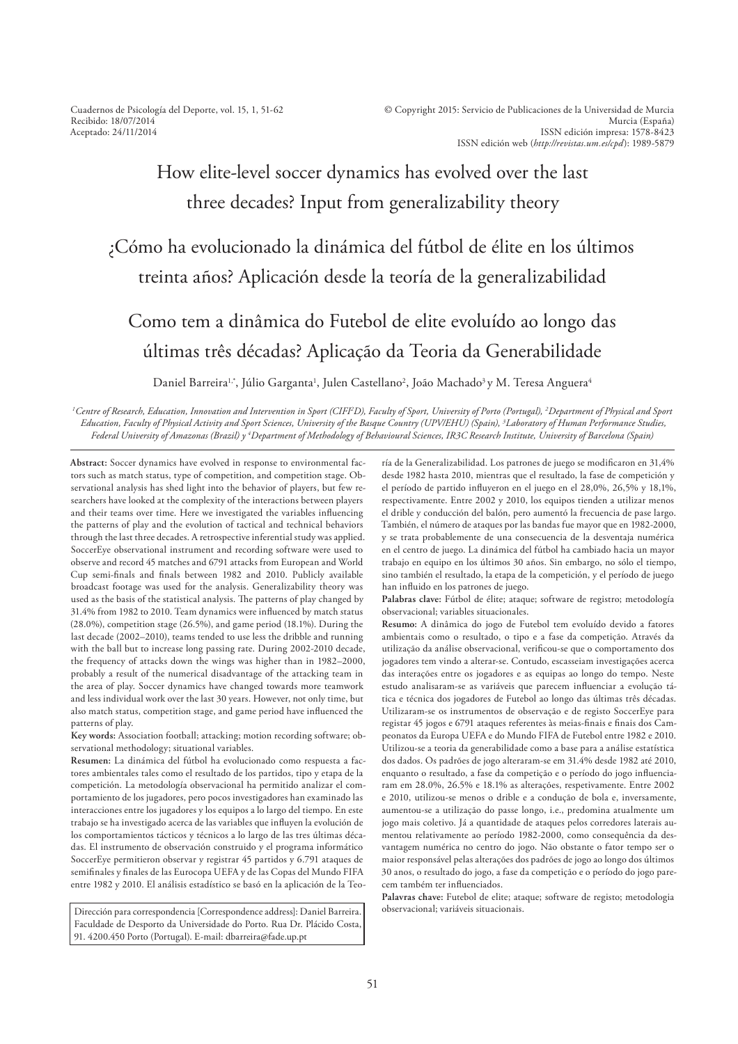Cuadernos de Psicología del Deporte, vol. 15, 1, 51-62 Recibido: 18/07/2014 Aceptado: 24/11/2014

# How elite-level soccer dynamics has evolved over the last three decades? Input from generalizability theory

# ¿Cómo ha evolucionado la dinámica del fútbol de élite en los últimos treinta años? Aplicación desde la teoría de la generalizabilidad

# Como tem a dinâmica do Futebol de elite evoluído ao longo das últimas três décadas? Aplicação da Teoria da Generabilidade

Daniel Barreira<sup>1,</sup>\*, Júlio Garganta<sup>1</sup>, Julen Castellano<sup>2</sup>, João Machado<sup>3</sup> y M. Teresa Anguera<sup>4</sup>

*1 Centre of Research, Education, Innovation and Intervention in Sport (CIFI<sup>2</sup>D), Faculty of Sport, University of Porto (Portugal), <sup>2</sup> Department of Physical and Sport*  Education, Faculty of Physical Activity and Sport Sciences, University of the Basque Country (UPV/EHU) (Spain), <sup>3</sup>Laboratory of Human Performance Studies, *Federal University of Amazonas (Brazil) y <sup>4</sup> Department of Methodology of Behavioural Sciences, IR3C Research Institute, University of Barcelona (Spain)*

**Abstract:** Soccer dynamics have evolved in response to environmental factors such as match status, type of competition, and competition stage. Observational analysis has shed light into the behavior of players, but few researchers have looked at the complexity of the interactions between players and their teams over time. Here we investigated the variables influencing the patterns of play and the evolution of tactical and technical behaviors through the last three decades. A retrospective inferential study was applied. SoccerEye observational instrument and recording software were used to observe and record 45 matches and 6791 attacks from European and World Cup semi-finals and finals between 1982 and 2010. Publicly available broadcast footage was used for the analysis. Generalizability theory was used as the basis of the statistical analysis. The patterns of play changed by 31.4% from 1982 to 2010. Team dynamics were influenced by match status (28.0%), competition stage (26.5%), and game period (18.1%). During the last decade (2002–2010), teams tended to use less the dribble and running with the ball but to increase long passing rate. During 2002-2010 decade, the frequency of attacks down the wings was higher than in 1982–2000, probably a result of the numerical disadvantage of the attacking team in the area of play. Soccer dynamics have changed towards more teamwork and less individual work over the last 30 years. However, not only time, but also match status, competition stage, and game period have influenced the patterns of play.

**Key words:** Association football; attacking; motion recording software; observational methodology; situational variables.

**Resumen:** La dinámica del fútbol ha evolucionado como respuesta a factores ambientales tales como el resultado de los partidos, tipo y etapa de la competición. La metodología observacional ha permitido analizar el comportamiento de los jugadores, pero pocos investigadores han examinado las interacciones entre los jugadores y los equipos a lo largo del tiempo. En este trabajo se ha investigado acerca de las variables que influyen la evolución de los comportamientos tácticos y técnicos a lo largo de las tres últimas décadas. El instrumento de observación construido y el programa informático SoccerEye permitieron observar y registrar 45 partidos y 6.791 ataques de semifinales y finales de las Eurocopa UEFA y de las Copas del Mundo FIFA entre 1982 y 2010. El análisis estadístico se basó en la aplicación de la Teo-

Dirección para correspondencia [Correspondence address]: Daniel Barreira. Faculdade de Desporto da Universidade do Porto. Rua Dr. Plácido Costa, 91. 4200.450 Porto (Portugal). E-mail: dbarreira@fade.up.pt

ría de la Generalizabilidad. Los patrones de juego se modificaron en 31,4% desde 1982 hasta 2010, mientras que el resultado, la fase de competición y el período de partido influyeron en el juego en el 28,0%, 26,5% y 18,1%, respectivamente. Entre 2002 y 2010, los equipos tienden a utilizar menos el drible y conducción del balón, pero aumentó la frecuencia de pase largo. También, el número de ataques por las bandas fue mayor que en 1982-2000, y se trata probablemente de una consecuencia de la desventaja numérica en el centro de juego. La dinámica del fútbol ha cambiado hacia un mayor trabajo en equipo en los últimos 30 años. Sin embargo, no sólo el tiempo, sino también el resultado, la etapa de la competición, y el período de juego han influido en los patrones de juego.

**Palabras clave:** Fútbol de élite; ataque; software de registro; metodología observacional; variables situacionales.

**Resumo:** A dinâmica do jogo de Futebol tem evoluído devido a fatores ambientais como o resultado, o tipo e a fase da competição. Através da utilização da análise observacional, verificou-se que o comportamento dos jogadores tem vindo a alterar-se. Contudo, escasseiam investigações acerca das interações entre os jogadores e as equipas ao longo do tempo. Neste estudo analisaram-se as variáveis que parecem influenciar a evolução tática e técnica dos jogadores de Futebol ao longo das últimas três décadas. Utilizaram-se os instrumentos de observação e de registo SoccerEye para registar 45 jogos e 6791 ataques referentes às meias-finais e finais dos Campeonatos da Europa UEFA e do Mundo FIFA de Futebol entre 1982 e 2010. Utilizou-se a teoria da generabilidade como a base para a análise estatística dos dados. Os padrões de jogo alteraram-se em 31.4% desde 1982 até 2010, enquanto o resultado, a fase da competição e o período do jogo influenciaram em 28.0%, 26.5% e 18.1% as alterações, respetivamente. Entre 2002 e 2010, utilizou-se menos o drible e a condução de bola e, inversamente, aumentou-se a utilização do passe longo, i.e., predomina atualmente um jogo mais coletivo. Já a quantidade de ataques pelos corredores laterais aumentou relativamente ao período 1982-2000, como consequência da desvantagem numérica no centro do jogo. Não obstante o fator tempo ser o maior responsável pelas alterações dos padrões de jogo ao longo dos últimos 30 anos, o resultado do jogo, a fase da competição e o período do jogo parecem também ter influenciados.

**Palavras chave:** Futebol de elite; ataque; software de registo; metodologia observacional; variáveis situacionais.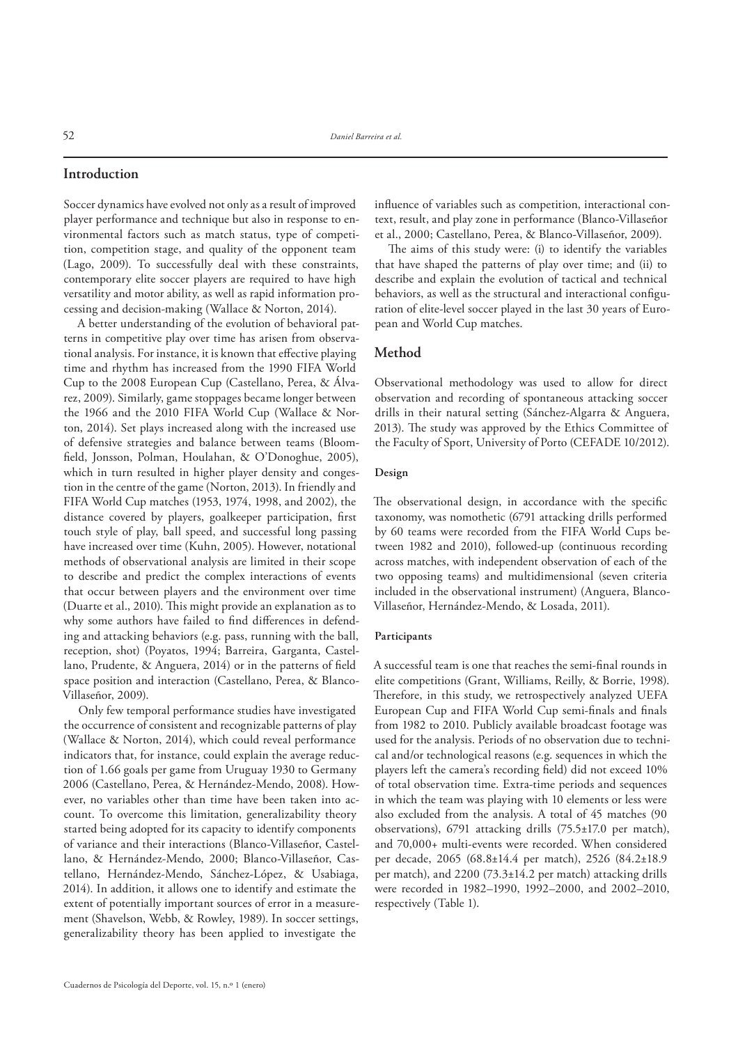### **Introduction**

Soccer dynamics have evolved not only as a result of improved player performance and technique but also in response to environmental factors such as match status, type of competition, competition stage, and quality of the opponent team (Lago, 2009). To successfully deal with these constraints, contemporary elite soccer players are required to have high versatility and motor ability, as well as rapid information processing and decision-making (Wallace & Norton, 2014).

A better understanding of the evolution of behavioral patterns in competitive play over time has arisen from observational analysis. For instance, it is known that effective playing time and rhythm has increased from the 1990 FIFA World Cup to the 2008 European Cup (Castellano, Perea, & Álvarez, 2009). Similarly, game stoppages became longer between the 1966 and the 2010 FIFA World Cup (Wallace & Norton, 2014). Set plays increased along with the increased use of defensive strategies and balance between teams (Bloom field, Jonsson, Polman, Houlahan, & O'Donoghue, 2005), which in turn resulted in higher player density and congestion in the centre of the game (Norton, 2013). In friendly and FIFA World Cup matches (1953, 1974, 1998, and 2002), the distance covered by players, goalkeeper participation, first touch style of play, ball speed, and successful long passing have increased over time (Kuhn, 2005). However, notational methods of observational analysis are limited in their scope to describe and predict the complex interactions of events that occur between players and the environment over time (Duarte et al., 2010). This might provide an explanation as to why some authors have failed to find differences in defending and attacking behaviors (e.g. pass, running with the ball, reception, shot) (Poyatos, 1994; Barreira, Garganta, Castellano, Prudente, & Anguera, 2014) or in the patterns of field space position and interaction (Castellano, Perea, & Blanco-Villaseñor, 2009).

Only few temporal performance studies have investigated the occurrence of consistent and recognizable patterns of play (Wallace & Norton, 2014), which could reveal performance indicators that, for instance, could explain the average reduction of 1.66 goals per game from Uruguay 1930 to Germany 2006 (Castellano, Perea, & Hernández-Mendo, 2008). However, no variables other than time have been taken into account. To overcome this limitation, generalizability theory started being adopted for its capacity to identify components of variance and their interactions (Blanco-Villaseñor, Castellano, & Hernández-Mendo, 2000; Blanco-Villaseñor, Castellano, Hernández-Mendo, Sánchez-López, & Usabiaga, 2014). In addition, it allows one to identify and estimate the extent of potentially important sources of error in a measurement (Shavelson, Webb, & Rowley, 1989). In soccer settings, generalizability theory has been applied to investigate the

influence of variables such as competition, interactional context, result, and play zone in performance (Blanco-Villaseñor et al., 2000; Castellano, Perea, & Blanco-Villaseñor, 2009).

The aims of this study were: (i) to identify the variables that have shaped the patterns of play over time; and (ii) to describe and explain the evolution of tactical and technical behaviors, as well as the structural and interactional configuration of elite-level soccer played in the last 30 years of European and World Cup matches.

# **Method**

Observational methodology was used to allow for direct observation and recording of spontaneous attacking soccer drills in their natural setting (Sánchez-Algarra & Anguera, 2013). The study was approved by the Ethics Committee of the Faculty of Sport, University of Porto (CEFADE 10/2012).

## **Design**

The observational design, in accordance with the specific taxonomy, was nomothetic (6791 attacking drills performed by 60 teams were recorded from the FIFA World Cups between 1982 and 2010), followed-up (continuous recording across matches, with independent observation of each of the two opposing teams) and multidimensional (seven criteria included in the observational instrument) (Anguera, Blanco-Villaseñor, Hernández-Mendo, & Losada, 2011).

#### **Participants**

A successful team is one that reaches the semi-final rounds in elite competitions (Grant, Williams, Reilly, & Borrie, 1998). Therefore, in this study, we retrospectively analyzed UEFA European Cup and FIFA World Cup semi-finals and finals from 1982 to 2010. Publicly available broadcast footage was used for the analysis. Periods of no observation due to technical and/or technological reasons (e.g. sequences in which the players left the camera's recording field) did not exceed 10% of total observation time. Extra-time periods and sequences in which the team was playing with 10 elements or less were also excluded from the analysis. A total of 45 matches (90 observations), 6791 attacking drills (75.5±17.0 per match), and 70,000+ multi-events were recorded. When considered per decade, 2065 (68.8±14.4 per match), 2526 (84.2±18.9 per match), and 2200 (73.3±14.2 per match) attacking drills were recorded in 1982–1990, 1992–2000, and 2002–2010, respectively (Table 1).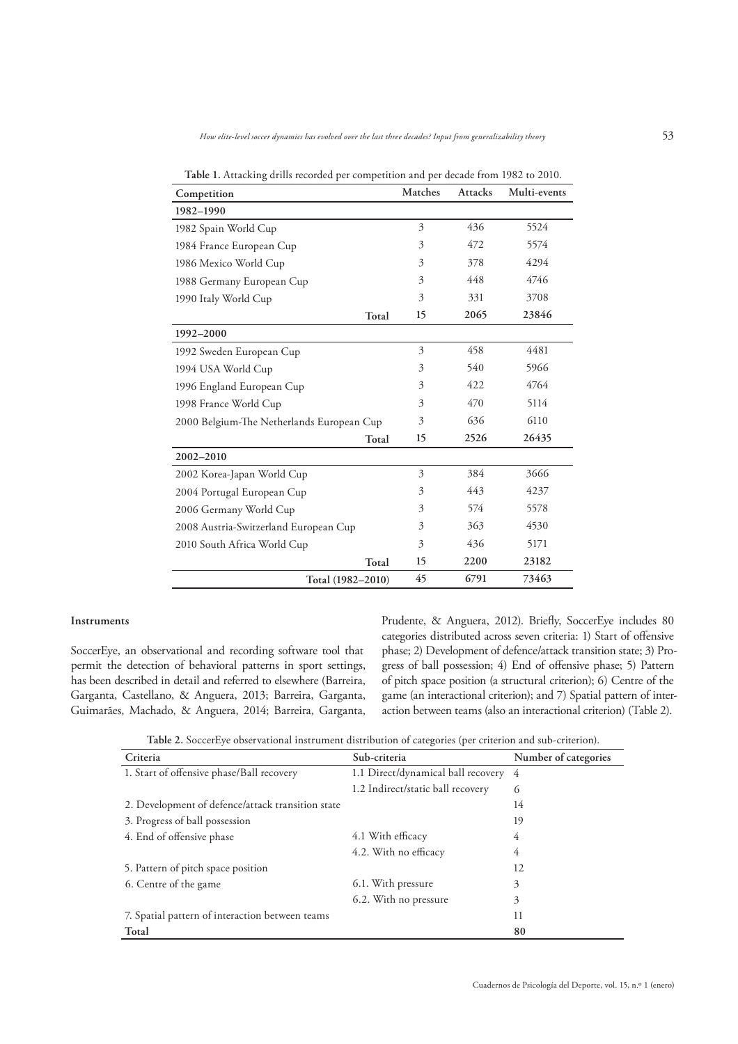| Competition                               | Matches | <b>Attacks</b> | Multi-events |
|-------------------------------------------|---------|----------------|--------------|
| 1982-1990                                 |         |                |              |
| 1982 Spain World Cup                      | 3       | 436            | 5524         |
| 1984 France European Cup                  | 3       | 472            | 5574         |
| 1986 Mexico World Cup                     | 3       | 378            | 4294         |
| 1988 Germany European Cup                 | 3       | 448            | 4746         |
| 1990 Italy World Cup                      | 3       | 331            | 3708         |
| Total                                     | 15      | 2065           | 23846        |
| 1992-2000                                 |         |                |              |
| 1992 Sweden European Cup                  | 3       | 458            | 4481         |
| 1994 USA World Cup                        | 3       | 540            | 5966         |
| 1996 England European Cup                 | 3       | 422            | 4764         |
| 1998 France World Cup                     | 3       | 470            | 5114         |
| 2000 Belgium-The Netherlands European Cup | 3       | 636            | 6110         |
| Total                                     | 15      | 2526           | 26435        |
| $2002 - 2010$                             |         |                |              |
| 2002 Korea-Japan World Cup                | 3       | 384            | 3666         |
| 2004 Portugal European Cup                | 3       | 443            | 4237         |
| 2006 Germany World Cup                    | 3       | 574            | 5578         |
| 2008 Austria-Switzerland European Cup     | 3       | 363            | 4530         |
| 2010 South Africa World Cup               | 3       | 436            | 5171         |
| Total                                     | 15      | 2200           | 23182        |
| Total (1982-2010)                         | 45      | 6791           | 73463        |

**Table 1.** Attacking drills recorded per competition and per decade from 1982 to 2010.

#### **Instruments**

SoccerEye, an observational and recording software tool that permit the detection of behavioral patterns in sport settings, has been described in detail and referred to elsewhere (Barreira, Garganta, Castellano, & Anguera, 2013; Barreira, Garganta, Guimarães, Machado, & Anguera, 2014; Barreira, Garganta, Prudente, & Anguera, 2012). Briefly, SoccerEye includes 80 categories distributed across seven criteria: 1) Start of offensive phase; 2) Development of defence/attack transition state; 3) Progress of ball possession; 4) End of offensive phase; 5) Pattern of pitch space position (a structural criterion); 6) Centre of the game (an interactional criterion); and 7) Spatial pattern of interaction between teams (also an interactional criterion) (Table 2).

**Table 2.** SoccerEye observational instrument distribution of categories (per criterion and sub-criterion).

| Criteria                                          | Sub-criteria                         | Number of categories |
|---------------------------------------------------|--------------------------------------|----------------------|
| 1. Start of offensive phase/Ball recovery         | 1.1 Direct/dynamical ball recovery 4 |                      |
|                                                   | 1.2 Indirect/static ball recovery    | 6                    |
| 2. Development of defence/attack transition state |                                      | 14                   |
| 3. Progress of ball possession                    |                                      | 19                   |
| 4. End of offensive phase                         | 4.1 With efficacy                    | 4                    |
|                                                   | 4.2. With no efficacy                | 4                    |
| 5. Pattern of pitch space position                |                                      | 12                   |
| 6. Centre of the game                             | 6.1. With pressure                   | 3                    |
|                                                   | 6.2. With no pressure                | 3                    |
| 7. Spatial pattern of interaction between teams   |                                      | 11                   |
| Total                                             |                                      | 80                   |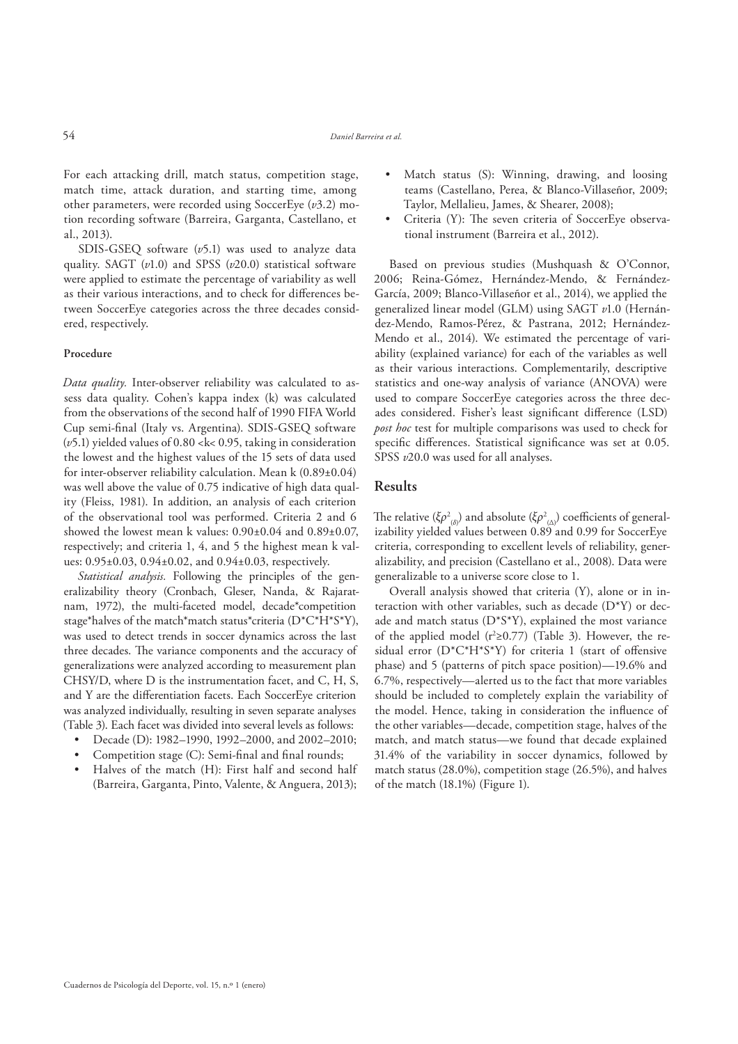For each attacking drill, match status, competition stage, match time, attack duration, and starting time, among other parameters, were recorded using SoccerEye (*v*3.2) motion recording software (Barreira, Garganta, Castellano, et al., 2013).

SDIS-GSEQ software (*v*5.1) was used to analyze data quality. SAGT (*v*1.0) and SPSS (*v*20.0) statistical software were applied to estimate the percentage of variability as well as their various interactions, and to check for differences between SoccerEye categories across the three decades considered, respectively.

#### **Procedure**

*Data quality.* Inter-observer reliability was calculated to assess data quality. Cohen's kappa index (k) was calculated from the observations of the second half of 1990 FIFA World Cup semi-final (Italy vs. Argentina). SDIS-GSEQ software (*v*5.1) yielded values of 0.80 <k< 0.95, taking in consideration the lowest and the highest values of the 15 sets of data used for inter-observer reliability calculation. Mean k (0.89±0.04) was well above the value of 0.75 indicative of high data quality (Fleiss, 1981). In addition, an analysis of each criterion of the observational tool was performed. Criteria 2 and 6 showed the lowest mean k values: 0.90±0.04 and 0.89±0.07, respectively; and criteria 1, 4, and 5 the highest mean k values: 0.95±0.03, 0.94±0.02, and 0.94±0.03, respectively.

*Statistical analysis.* Following the principles of the generalizability theory (Cronbach, Gleser, Nanda, & Rajaratnam, 1972), the multi-faceted model, decade\*competition stage\*halves of the match\*match status\*criteria (D\*C\*H\*S\*Y), was used to detect trends in soccer dynamics across the last three decades. The variance components and the accuracy of generalizations were analyzed according to measurement plan CHSY/D, where D is the instrumentation facet, and C, H, S, and Y are the differentiation facets. Each SoccerEye criterion was analyzed individually, resulting in seven separate analyses (Table 3). Each facet was divided into several levels as follows:

- Decade (D): 1982–1990, 1992–2000, and 2002–2010;
- Competition stage (C): Semi-final and final rounds;
- Halves of the match (H): First half and second half (Barreira, Garganta, Pinto, Valente, & Anguera, 2013);
- Match status (S): Winning, drawing, and loosing teams (Castellano, Perea, & Blanco-Villaseñor, 2009; Taylor, Mellalieu, James, & Shearer, 2008);
- Criteria (Y): The seven criteria of SoccerEye observational instrument (Barreira et al., 2012).

Based on previous studies (Mushquash & O'Connor, 2006; Reina-Gómez, Hernández-Mendo, & Fernández-García, 2009; Blanco-Villaseñor et al., 2014), we applied the generalized linear model (GLM) using SAGT *v*1.0 (Hernández-Mendo, Ramos-Pérez, & Pastrana, 2012; Hernández-Mendo et al., 2014). We estimated the percentage of variability (explained variance) for each of the variables as well as their various interactions. Complementarily, descriptive statistics and one-way analysis of variance (ANOVA) were used to compare SoccerEye categories across the three decades considered. Fisher's least significant difference (LSD) *post hoc* test for multiple comparisons was used to check for specific differences. Statistical significance was set at 0.05. SPSS  $v20.0$  was used for all analyses.

### **Results**

The relative (ξ $\rho^2_{\;\;(\delta)}$ ) and absolute (ξ $\rho^2_{\;\;(\Delta)}$ ) coefficients of generalizability yielded values between 0.89 and 0.99 for SoccerEye criteria, corresponding to excellent levels of reliability, generalizability, and precision (Castellano et al., 2008). Data were generalizable to a universe score close to 1.

Overall analysis showed that criteria (Y), alone or in interaction with other variables, such as decade (D\*Y) or decade and match status (D\*S\*Y), explained the most variance of the applied model ( $r^2 \ge 0.77$ ) (Table 3). However, the residual error  $(D^*C^*H^*S^*Y)$  for criteria 1 (start of offensive phase) and 5 (patterns of pitch space position)—19.6% and 6.7%, respectively—alerted us to the fact that more variables should be included to completely explain the variability of the model. Hence, taking in consideration the influence of the other variables—decade, competition stage, halves of the match, and match status—we found that decade explained 31.4% of the variability in soccer dynamics, followed by match status (28.0%), competition stage (26.5%), and halves of the match (18.1%) (Figure 1).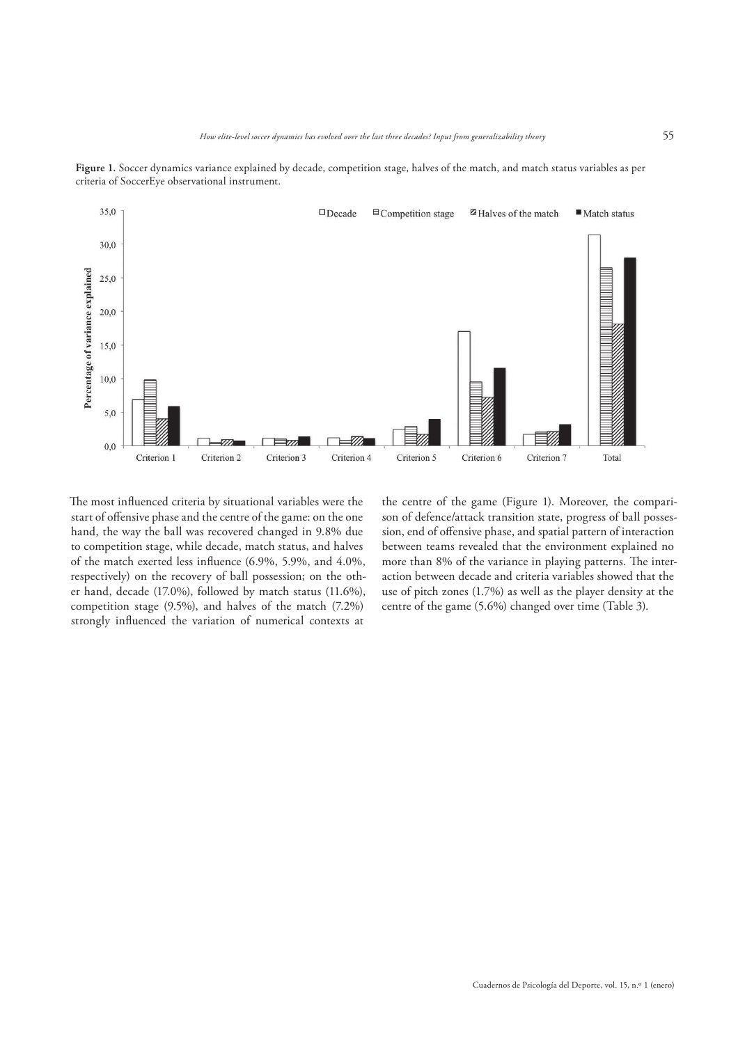

Figure 1. Soccer dynamics variance explained by decade, competition stage, halves of the match, and match status variables as per criteria of SoccerEye observational instrument.

The most influenced criteria by situational variables were the start of offensive phase and the centre of the game: on the one hand, the way the ball was recovered changed in 9.8% due to competition stage, while decade, match status, and halves of the match exerted less influence (6.9%, 5.9%, and 4.0%, respectively) on the recovery of ball possession; on the other hand, decade (17.0%), followed by match status (11.6%), competition stage (9.5%), and halves of the match (7.2%) strongly influenced the variation of numerical contexts at

the centre of the game (Figure 1). Moreover, the comparison of defence/attack transition state, progress of ball possession, end of offensive phase, and spatial pattern of interaction between teams revealed that the environment explained no more than 8% of the variance in playing patterns. The interaction between decade and criteria variables showed that the use of pitch zones (1.7%) as well as the player density at the centre of the game (5.6%) changed over time (Table 3).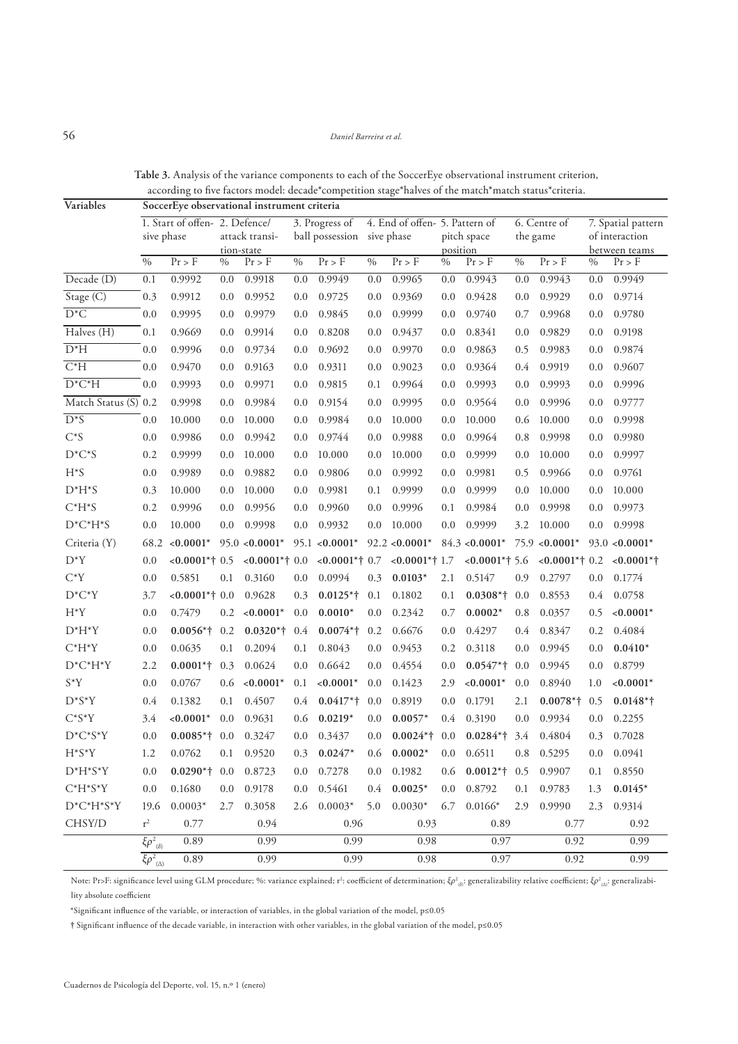# 56 *Daniel Barreira et al.*

| Variables            | ပ<br>SoccerEye observational instrument criteria |                                             |      |                              |         |                                              |         |                                |               |                         |               |                          |         |                                                       |  |
|----------------------|--------------------------------------------------|---------------------------------------------|------|------------------------------|---------|----------------------------------------------|---------|--------------------------------|---------------|-------------------------|---------------|--------------------------|---------|-------------------------------------------------------|--|
|                      |                                                  | 1. Start of offen-2. Defence/<br>sive phase |      | attack transi-<br>tion-state |         | 3. Progress of<br>ball possession sive phase |         | 4. End of offen- 5. Pattern of |               | pitch space<br>position |               | 6. Centre of<br>the game |         | 7. Spatial pattern<br>of interaction<br>between teams |  |
|                      | $\frac{0}{0}$                                    | $Pr$ > F                                    | $\%$ | $Pr$ > F                     | $\%$    | $Pr$ > F                                     | $\%$    | $Pr$ > $F$                     | $\frac{0}{6}$ | $Pr$ > F                | $\frac{0}{0}$ | $Pr$ > F                 | $\%$    | $Pr$ > F                                              |  |
| Decade (D)           | 0.1                                              | 0.9992                                      | 0.0  | 0.9918                       | 0.0     | 0.9949                                       | 0.0     | 0.9965                         | 0.0           | 0.9943                  | 0.0           | 0.9943                   | 0.0     | 0.9949                                                |  |
| Stage (C)            | 0.3                                              | 0.9912                                      | 0.0  | 0.9952                       | 0.0     | 0.9725                                       | 0.0     | 0.9369                         | 0.0           | 0.9428                  | 0.0           | 0.9929                   | 0.0     | 0.9714                                                |  |
| $D^*C$               | 0.0                                              | 0.9995                                      | 0.0  | 0.9979                       | 0.0     | 0.9845                                       | 0.0     | 0.9999                         | 0.0           | 0.9740                  | 0.7           | 0.9968                   | 0.0     | 0.9780                                                |  |
| Halves (H)           | 0.1                                              | 0.9669                                      | 0.0  | 0.9914                       | 0.0     | 0.8208                                       | 0.0     | 0.9437                         | 0.0           | 0.8341                  | 0.0           | 0.9829                   | 0.0     | 0.9198                                                |  |
| $D^*H$               | 0.0                                              | 0.9996                                      | 0.0  | 0.9734                       | 0.0     | 0.9692                                       | 0.0     | 0.9970                         | 0.0           | 0.9863                  | 0.5           | 0.9983                   | 0.0     | 0.9874                                                |  |
| $C^*H$               | 0.0                                              | 0.9470                                      | 0.0  | 0.9163                       | 0.0     | 0.9311                                       | 0.0     | 0.9023                         | 0.0           | 0.9364                  | 0.4           | 0.9919                   | 0.0     | 0.9607                                                |  |
| $D^*C^*H$            | 0.0                                              | 0.9993                                      | 0.0  | 0.9971                       | 0.0     | 0.9815                                       | 0.1     | 0.9964                         | 0.0           | 0.9993                  | 0.0           | 0.9993                   | 0.0     | 0.9996                                                |  |
| Match Status (S) 0.2 |                                                  | 0.9998                                      | 0.0  | 0.9984                       | 0.0     | 0.9154                                       | 0.0     | 0.9995                         | 0.0           | 0.9564                  | 0.0           | 0.9996                   | 0.0     | 0.9777                                                |  |
| $D^*S$               | 0.0                                              | 10.000                                      | 0.0  | 10.000                       | 0.0     | 0.9984                                       | 0.0     | 10.000                         | 0.0           | 10.000                  | 0.6           | 10.000                   | 0.0     | 0.9998                                                |  |
| $C^*S$               | 0.0                                              | 0.9986                                      | 0.0  | 0.9942                       | 0.0     | 0.9744                                       | 0.0     | 0.9988                         | 0.0           | 0.9964                  | 0.8           | 0.9998                   | 0.0     | 0.9980                                                |  |
| $D^*C^*S$            | 0.2                                              | 0.9999                                      | 0.0  | 10.000                       | 0.0     | 10.000                                       | 0.0     | 10.000                         | 0.0           | 0.9999                  | 0.0           | 10.000                   | 0.0     | 0.9997                                                |  |
| $H^*S$               | 0.0                                              | 0.9989                                      | 0.0  | 0.9882                       | 0.0     | 0.9806                                       | 0.0     | 0.9992                         | 0.0           | 0.9981                  | 0.5           | 0.9966                   | 0.0     | 0.9761                                                |  |
| $D^*H^*S$            | 0.3                                              | 10.000                                      | 0.0  | 10.000                       | 0.0     | 0.9981                                       | 0.1     | 0.9999                         | 0.0           | 0.9999                  | 0.0           | 10.000                   | 0.0     | 10.000                                                |  |
| $C^*H^*S$            | 0.2                                              | 0.9996                                      | 0.0  | 0.9956                       | 0.0     | 0.9960                                       | 0.0     | 0.9996                         | 0.1           | 0.9984                  | 0.0           | 0.9998                   | 0.0     | 0.9973                                                |  |
| $D^*C^*H^*S$         | 0.0                                              | 10.000                                      | 0.0  | 0.9998                       | 0.0     | 0.9932                                       | 0.0     | 10.000                         | 0.0           | 0.9999                  | 3.2           | 10.000                   | 0.0     | 0.9998                                                |  |
| Criteria (Y)         | 68.2                                             | ${<}0.0001*$                                |      | $95.0 \le 0.0001^*$          |         | $95.1 < 0.0001*$                             |         | $92.2 < 0.0001*$               |               | $84.3 \le 0.0001*$      |               | $75.9$ <0.0001*          |         | $93.0 < 0.0001*$                                      |  |
| $D^*Y$               | 0.0                                              | $<0.0001**0.5$                              |      | $<0.0001**0.0$               |         | $<0.0001**0.7$                               |         | $<0.0001**1.7$                 |               | $<0.0001*†5.6$          |               | $<0.0001**0.2$           |         | $< 0.0001$ *†                                         |  |
| $C^*Y$               | 0.0                                              | 0.5851                                      | 0.1  | 0.3160                       | 0.0     | 0.0994                                       | 0.3     | $0.0103*$                      | 2.1           | 0.5147                  | 0.9           | 0.2797                   | 0.0     | 0.1774                                                |  |
| $D^*C^*Y$            | 3.7                                              | $<0.0001**0.0$                              |      | 0.9628                       | 0.3     | $0.0125*$ †                                  | 0.1     | 0.1802                         | 0.1           | $0.0308*†$              | 0.0           | 0.8553                   | 0.4     | 0.0758                                                |  |
| $H^*Y$               | 0.0                                              | 0.7479                                      | 0.2  | $< 0.0001*$                  | 0.0     | $0.0010*$                                    | 0.0     | 0.2342                         | 0.7           | $0.0002*$               | 0.8           | 0.0357                   | 0.5     | $< 0.0001*$                                           |  |
| $D^*H^*Y$            | 0.0                                              | $0.0056*$ †                                 | 0.2  | $0.0320*$ †                  | 0.4     | $0.0074**$ †                                 | 0.2     | 0.6676                         | 0.0           | 0.4297                  | 0.4           | 0.8347                   | 0.2     | 0.4084                                                |  |
| $C^*H^*Y$            | 0.0                                              | 0.0635                                      | 0.1  | 0.2094                       | 0.1     | 0.8043                                       | 0.0     | 0.9453                         | 0.2           | 0.3118                  | 0.0           | 0.9945                   | 0.0     | $0.0410*$                                             |  |
| $D^*C^*H^*Y$         | 2.2                                              | $0.0001*$ † 0.3                             |      | 0.0624                       | 0.0     | 0.6642                                       | 0.0     | 0.4554                         | 0.0           | $0.0547**$              | 0.0           | 0.9945                   | 0.0     | 0.8799                                                |  |
| $S^*Y$               | 0.0                                              | 0.0767                                      | 0.6  | $< 0.0001*$                  | 0.1     | ${<}0.0001*$                                 | 0.0     | 0.1423                         | 2.9           | $< 0.0001*$             | 0.0           | 0.8940                   | 1.0     | $< 0.0001*$                                           |  |
| $D^*S^*Y$            | 0.4                                              | 0.1382                                      | 0.1  | 0.4507                       | 0.4     | $0.0417**$                                   | 0.0     | 0.8919                         | 0.0           | 0.1791                  | 2.1           | $0.0078**$               | 0.5     | $0.0148*$ †                                           |  |
| $C^*S^*Y$            | 3.4                                              | $< 0.0001*$                                 | 0.0  | 0.9631                       | 0.6     | $0.0219*$                                    | 0.0     | $0.0057*$                      | 0.4           | 0.3190                  | 0.0           | 0.9934                   | 0.0     | 0.2255                                                |  |
| $D^*C^*S^*Y$         | 0.0                                              | $0.0085**+0.0$                              |      | 0.3247                       | 0.0     | 0.3437                                       | 0.0     | $0.0024**$                     | 0.0           | $0.0284**$              | 3.4           | 0.4804                   | 0.3     | 0.7028                                                |  |
| $H^*S^*Y$            | $1.2\,$                                          | 0.0762                                      | 0.1  | 0.9520                       | 0.3     | $0.0247*$                                    | $0.6\,$ | $0.0002*$                      | $0.0\,$       | 0.6511                  | $0.8\,$       | 0.5295                   | $0.0\,$ | 0.0941                                                |  |
| $D^*H^*S^*Y$         | 0.0                                              | $0.0290*$ † 0.0                             |      | 0.8723                       | $0.0\,$ | 0.7278                                       | 0.0     | 0.1982                         | 0.6           | $0.0012** + 0.5$        |               | 0.9907                   | 0.1     | 0.8550                                                |  |
| $C^*H^*S^*Y$         | 0.0                                              | 0.1680                                      | 0.0  | 0.9178                       |         | $0.0 \quad 0.5461$                           | $0.4\,$ | $0.0025*$                      | $0.0\,$       | 0.8792                  | 0.1           | 0.9783                   | 1.3     | $0.0145*$                                             |  |
| $D^*C^*H^*S^*Y$      | 19.6                                             | $0.0003*$                                   | 2.7  | 0.3058                       |         | $2.6$ 0.0003*                                | 5.0     | $0.0030*$                      | 6.7           | $0.0166*$               | 2.9           | 0.9990                   | 2.3     | 0.9314                                                |  |
| CHSY/D               | $r^2$                                            | 0.77                                        |      | 0.94                         |         | 0.96                                         |         | 0.93                           |               | 0.89                    |               | 0.77                     |         | 0.92                                                  |  |
|                      | $\xi \rho^2_{(\delta)}$                          | 0.89                                        |      | 0.99                         |         | 0.99                                         |         | 0.98                           |               | 0.97                    |               | 0.92                     |         | 0.99                                                  |  |
|                      | $\overline{\xi \rho^2}_{(\Delta)}$               | 0.89                                        |      | 0.99                         |         | 0.99                                         |         | 0.98                           |               | 0.97                    |               | 0.92                     |         | 0.99                                                  |  |

**Table 3.** Analysis of the variance components to each of the SoccerEye observational instrument criterion, according to five factors model: decade\*competition stage\*halves of the match\*match status\*criteria.

Note: Pr>F: significance level using GLM procedure; %: variance explained; r²: coefficient of determination;  $\zeta \rho^2_{\ \mathrm{(a)}^2}$  generalizability relative coefficient;  $\zeta \rho^2_{\ \mathrm{(a)}^2}$  generalizability absolute coefficient

\*Signi"cant in'uence of the variable, or interaction of variables, in the global variation of the model, p≤0.05

**†** Signi"cant in'uence of the decade variable, in interaction with other variables, in the global variation of the model, p≤0.05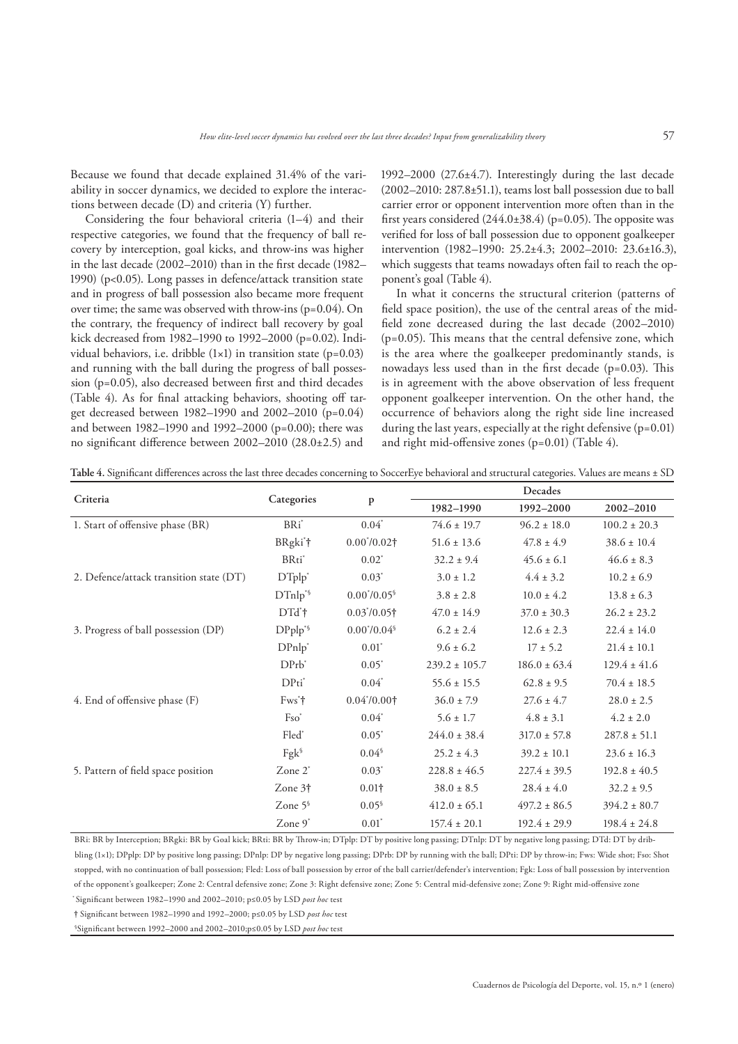Because we found that decade explained 31.4% of the variability in soccer dynamics, we decided to explore the interactions between decade (D) and criteria (Y) further.

Considering the four behavioral criteria (1–4) and their respective categories, we found that the frequency of ball recovery by interception, goal kicks, and throw-ins was higher in the last decade  $(2002-2010)$  than in the first decade  $(1982-$ 1990) (p<0.05). Long passes in defence/attack transition state and in progress of ball possession also became more frequent over time; the same was observed with throw-ins (p=0.04). On the contrary, the frequency of indirect ball recovery by goal kick decreased from 1982–1990 to 1992–2000 (p=0.02). Individual behaviors, i.e. dribble  $(1\times1)$  in transition state  $(p=0.03)$ and running with the ball during the progress of ball possession ( $p=0.05$ ), also decreased between first and third decades (Table 4). As for final attacking behaviors, shooting off target decreased between 1982–1990 and 2002–2010 (p=0.04) and between 1982–1990 and 1992–2000 (p=0.00); there was no significant difference between  $2002-2010$   $(28.0\pm2.5)$  and

1992–2000 (27.6±4.7). Interestingly during the last decade (2002–2010: 287.8±51.1), teams lost ball possession due to ball carrier error or opponent intervention more often than in the first years considered  $(244.0\pm38.4)$  (p=0.05). The opposite was verified for loss of ball possession due to opponent goalkeeper intervention (1982–1990: 25.2±4.3; 2002–2010: 23.6±16.3), which suggests that teams nowadays often fail to reach the opponent's goal (Table 4).

In what it concerns the structural criterion (patterns of field space position), the use of the central areas of the midfield zone decreased during the last decade (2002–2010)  $(p=0.05)$ . This means that the central defensive zone, which is the area where the goalkeeper predominantly stands, is nowadays less used than in the first decade ( $p=0.03$ ). This is in agreement with the above observation of less frequent opponent goalkeeper intervention. On the other hand, the occurrence of behaviors along the right side line increased during the last years, especially at the right defensive  $(p=0.01)$ and right mid-offensive zones ( $p=0.01$ ) (Table 4).

Table 4. Significant differences across the last three decades concerning to SoccerEye behavioral and structural categories. Values are means ± SD

|                                         |                     |                         | Decades           |                  |                  |  |  |  |
|-----------------------------------------|---------------------|-------------------------|-------------------|------------------|------------------|--|--|--|
| Criteria                                | Categories          | P                       | 1982-1990         | 1992-2000        | 2002-2010        |  |  |  |
| 1. Start of offensive phase (BR)        | BRi <sup>*</sup>    | $0.04^*$                | $74.6 \pm 19.7$   | $96.2 \pm 18.0$  | $100.2 \pm 20.3$ |  |  |  |
|                                         | BRgki*†             | $0.00^{*}/0.02\dagger$  | $51.6 \pm 13.6$   | $47.8 \pm 4.9$   | $38.6 \pm 10.4$  |  |  |  |
|                                         | BRti*               | $0.02^*$                | $32.2 \pm 9.4$    | $45.6 \pm 6.1$   | $46.6 \pm 8.3$   |  |  |  |
| 2. Defence/attack transition state (DT) | $DTplp^*$           | $0.03^*$                | $3.0 \pm 1.2$     | $4.4 \pm 3.2$    | $10.2 \pm 6.9$   |  |  |  |
|                                         | DTnlp <sup>*§</sup> | $0.00^{*}/0.05^{\circ}$ | $3.8 \pm 2.8$     | $10.0 \pm 4.2$   | $13.8 \pm 6.3$   |  |  |  |
|                                         | DTd <sup>*</sup> t  | $0.03^{*}/0.05\dagger$  | $47.0 \pm 14.9$   | $37.0 \pm 30.3$  | $26.2 \pm 23.2$  |  |  |  |
| 3. Progress of ball possession (DP)     | $DPplp^{*§}$        | $0.00^{*}/0.04^{\circ}$ | $6.2 \pm 2.4$     | $12.6 \pm 2.3$   | $22.4 \pm 14.0$  |  |  |  |
|                                         | $DPnlp^*$           | $0.01^*$                | $9.6 \pm 6.2$     | $17 \pm 5.2$     | $21.4 \pm 10.1$  |  |  |  |
|                                         | $DPrb^*$            | $0.05^*$                | $239.2 \pm 105.7$ | $186.0 \pm 63.4$ | $129.4 \pm 41.6$ |  |  |  |
|                                         | $DPti^*$            | $0.04^*$                | $55.6 \pm 15.5$   | $62.8 \pm 9.5$   | $70.4 \pm 18.5$  |  |  |  |
| 4. End of offensive phase (F)           | $Fws^*$             | $0.04^{*}/0.00\dagger$  | $36.0 \pm 7.9$    | $27.6 \pm 4.7$   | $28.0 \pm 2.5$   |  |  |  |
|                                         | $Fso^*$             | $0.04*$                 | $5.6 \pm 1.7$     | $4.8 \pm 3.1$    | $4.2 \pm 2.0$    |  |  |  |
|                                         | Fled*               | $0.05^*$                | $244.0 \pm 38.4$  | $317.0 \pm 57.8$ | $287.8 \pm 51.1$ |  |  |  |
|                                         | $Fgk^{\S}$          | $0.04^{\$}$             | $25.2 \pm 4.3$    | $39.2 \pm 10.1$  | $23.6 \pm 16.3$  |  |  |  |
| 5. Pattern of field space position      | Zone 2 <sup>*</sup> | $0.03^*$                | $228.8 \pm 46.5$  | $227.4 \pm 39.5$ | $192.8 \pm 40.5$ |  |  |  |
|                                         | Zone 3 <sup>†</sup> | $0.01\dagger$           | $38.0 \pm 8.5$    | $28.4 \pm 4.0$   | $32.2 \pm 9.5$   |  |  |  |
|                                         | Zone $5^{\circ}$    | 0.05 <sup>6</sup>       | $412.0 \pm 65.1$  | $497.2 \pm 86.5$ | $394.2 \pm 80.7$ |  |  |  |
|                                         | Zone $9^*$          | $0.01^*$                | $157.4 \pm 20.1$  | $192.4 \pm 29.9$ | $198.4 \pm 24.8$ |  |  |  |

BRi: BR by Interception; BRgki: BR by Goal kick; BRti: BR by Throw-in; DTplp: DT by positive long passing; DTnlp: DT by negative long passing; DTd: DT by dribbling (1×1); DPplp: DP by positive long passing; DPnlp: DP by negative long passing; DPrb: DP by running with the ball; DPti: DP by throw-in; Fws: Wide shot; Fso: Shot stopped, with no continuation of ball possession; Fled: Loss of ball possession by error of the ball carrier/defender's intervention; Fgk: Loss of ball possession by intervention of the opponent's goalkeeper; Zone 2: Central defensive zone; Zone 3: Right defensive zone; Zone 5: Central mid-defensive zone; Zone 9: Right mid-offensive zone

\* Signi"cant between 1982–1990 and 2002–2010; p≤0.05 by LSD *post hoc* test

**†** Signi"cant between 1982–1990 and 1992–2000; p≤0.05 by LSD *post hoc* test <sup>§</sup>Significant between 1992–2000 and 2002–2010;p≤0.05 by LSD *post hoc* test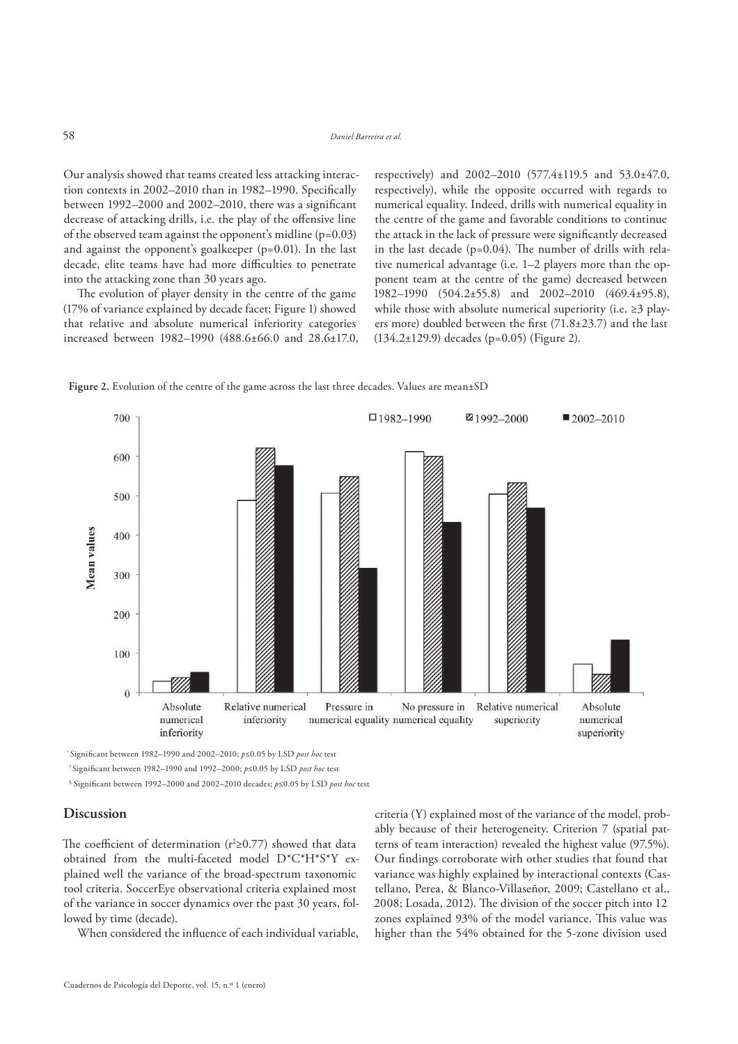Our analysis showed that teams created less attacking interaction contexts in 2002–2010 than in 1982–1990. Specifically between  $1992-2000$  and  $2002-2010$ , there was a significant decrease of attacking drills, i.e. the play of the offensive line of the observed team against the opponent's midline (p=0.03) and against the opponent's goalkeeper (p=0.01). In the last decade, elite teams have had more difficulties to penetrate into the attacking zone than 30 years ago.

The evolution of player density in the centre of the game (17% of variance explained by decade facet; Figure 1) showed that relative and absolute numerical inferiority categories increased between 1982–1990 (488.6±66.0 and 28.6±17.0, respectively) and 2002–2010 (577.4±119.5 and 53.0±47.0, respectively), while the opposite occurred with regards to numerical equality. Indeed, drills with numerical equality in the centre of the game and favorable conditions to continue the attack in the lack of pressure were significantly decreased in the last decade ( $p=0.04$ ). The number of drills with relative numerical advantage (i.e. 1–2 players more than the opponent team at the centre of the game) decreased between 1982–1990 (504.2±55.8) and 2002–2010 (469.4±95.8), while those with absolute numerical superiority (i.e.  $\geq$ 3 players more) doubled between the first  $(71.8\pm 23.7)$  and the last (134.2±129.9) decades (p=0.05) (Figure 2).



Figure 2. Evolution of the centre of the game across the last three decades. Values are mean±SD

\* Signi"cant between 1982–1990 and 2002–2010; *p*≤0.05 by LSD *post hoc* test

§ Significant between 1992–2000 and 2002–2010 decades; *p≤*0.05 by LSD *post hoc* test

# **Discussion**

The coefficient of determination ( $r^2 \ge 0.77$ ) showed that data obtained from the multi-faceted model D\*C\*H\*S\*Y explained well the variance of the broad-spectrum taxonomic tool criteria. SoccerEye observational criteria explained most of the variance in soccer dynamics over the past 30 years, followed by time (decade).

When considered the influence of each individual variable,

criteria (Y) explained most of the variance of the model, probably because of their heterogeneity. Criterion 7 (spatial patterns of team interaction) revealed the highest value (97.5%). Our findings corroborate with other studies that found that variance was highly explained by interactional contexts (Castellano, Perea, & Blanco-Villaseñor, 2009; Castellano et al., 2008; Losada, 2012). The division of the soccer pitch into 12 zones explained 93% of the model variance. This value was higher than the 54% obtained for the 5-zone division used

<sup>†</sup> Signi"cant between 1982–1990 and 1992–2000; *p*≤0.05 by LSD *post hoc* test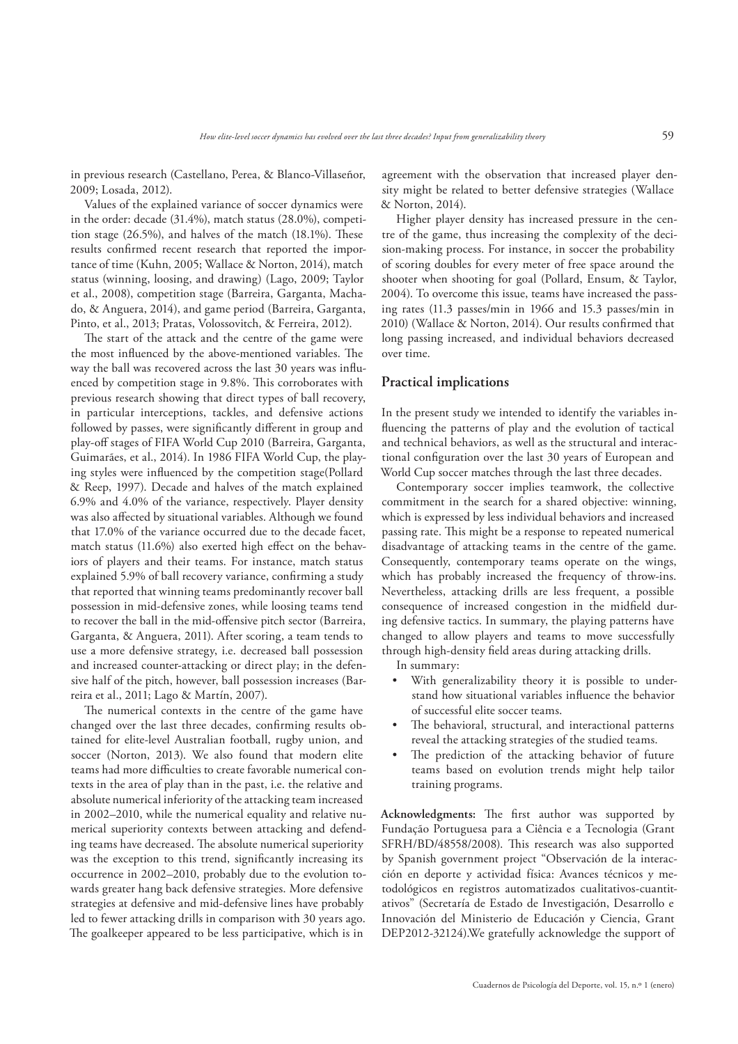in previous research (Castellano, Perea, & Blanco-Villaseñor, 2009; Losada, 2012).

Values of the explained variance of soccer dynamics were in the order: decade (31.4%), match status (28.0%), competition stage  $(26.5\%)$ , and halves of the match  $(18.1\%)$ . These results confirmed recent research that reported the importance of time (Kuhn, 2005; Wallace & Norton, 2014), match status (winning, loosing, and drawing) (Lago, 2009; Taylor et al., 2008), competition stage (Barreira, Garganta, Machado, & Anguera, 2014), and game period (Barreira, Garganta, Pinto, et al., 2013; Pratas, Volossovitch, & Ferreira, 2012).

The start of the attack and the centre of the game were the most influenced by the above-mentioned variables. The way the ball was recovered across the last 30 years was influenced by competition stage in 9.8%. This corroborates with previous research showing that direct types of ball recovery, in particular interceptions, tackles, and defensive actions followed by passes, were significantly different in group and play-off stages of FIFA World Cup 2010 (Barreira, Garganta, Guimarães, et al., 2014). In 1986 FIFA World Cup, the playing styles were influenced by the competition stage(Pollard & Reep, 1997). Decade and halves of the match explained 6.9% and 4.0% of the variance, respectively. Player density was also affected by situational variables. Although we found that 17.0% of the variance occurred due to the decade facet, match status  $(11.6\%)$  also exerted high effect on the behaviors of players and their teams. For instance, match status explained 5.9% of ball recovery variance, confirming a study that reported that winning teams predominantly recover ball possession in mid-defensive zones, while loosing teams tend to recover the ball in the mid-offensive pitch sector (Barreira, Garganta, & Anguera, 2011). After scoring, a team tends to use a more defensive strategy, i.e. decreased ball possession and increased counter-attacking or direct play; in the defensive half of the pitch, however, ball possession increases (Barreira et al., 2011; Lago & Martín, 2007).

The numerical contexts in the centre of the game have changed over the last three decades, confirming results obtained for elite-level Australian football, rugby union, and soccer (Norton, 2013). We also found that modern elite teams had more difficulties to create favorable numerical contexts in the area of play than in the past, i.e. the relative and absolute numerical inferiority of the attacking team increased in 2002–2010, while the numerical equality and relative numerical superiority contexts between attacking and defending teams have decreased. The absolute numerical superiority was the exception to this trend, significantly increasing its occurrence in 2002–2010, probably due to the evolution towards greater hang back defensive strategies. More defensive strategies at defensive and mid-defensive lines have probably led to fewer attacking drills in comparison with 30 years ago. The goalkeeper appeared to be less participative, which is in

agreement with the observation that increased player density might be related to better defensive strategies (Wallace & Norton, 2014).

Higher player density has increased pressure in the centre of the game, thus increasing the complexity of the decision-making process. For instance, in soccer the probability of scoring doubles for every meter of free space around the shooter when shooting for goal (Pollard, Ensum, & Taylor, 2004). To overcome this issue, teams have increased the passing rates (11.3 passes/min in 1966 and 15.3 passes/min in 2010) (Wallace & Norton, 2014). Our results confirmed that long passing increased, and individual behaviors decreased over time.

# **Practical implications**

In the present study we intended to identify the variables in fluencing the patterns of play and the evolution of tactical and technical behaviors, as well as the structural and interactional configuration over the last 30 years of European and World Cup soccer matches through the last three decades.

Contemporary soccer implies teamwork, the collective commitment in the search for a shared objective: winning, which is expressed by less individual behaviors and increased passing rate. This might be a response to repeated numerical disadvantage of attacking teams in the centre of the game. Consequently, contemporary teams operate on the wings, which has probably increased the frequency of throw-ins. Nevertheless, attacking drills are less frequent, a possible consequence of increased congestion in the midfield during defensive tactics. In summary, the playing patterns have changed to allow players and teams to move successfully through high-density field areas during attacking drills.

In summary:

- With generalizability theory it is possible to understand how situational variables influence the behavior of successful elite soccer teams.
- The behavioral, structural, and interactional patterns reveal the attacking strategies of the studied teams.
- The prediction of the attacking behavior of future teams based on evolution trends might help tailor training programs.

Acknowledgments: The first author was supported by Fundação Portuguesa para a Ciência e a Tecnologia (Grant SFRH/BD/48558/2008). This research was also supported by Spanish government project "Observación de la interacción en deporte y actividad física: Avances técnicos y metodológicos en registros automatizados cualitativos-cuantitativos" (Secretaría de Estado de Investigación, Desarrollo e Innovación del Ministerio de Educación y Ciencia, Grant DEP2012-32124).We gratefully acknowledge the support of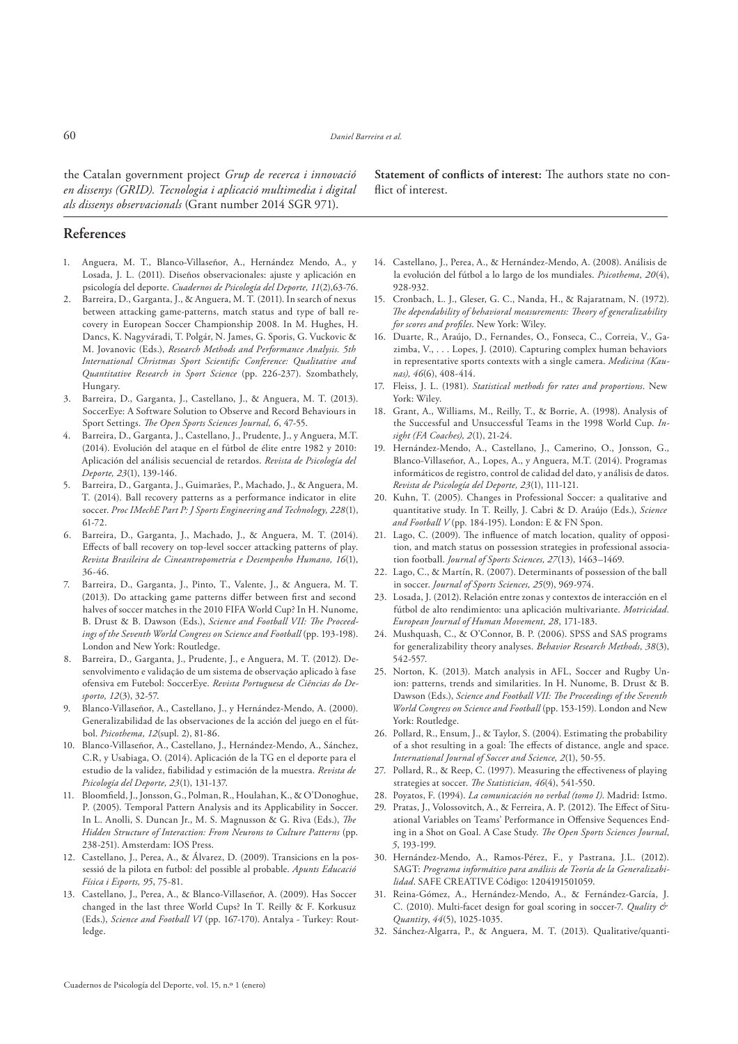the Catalan government project *Grup de recerca i innovació en dissenys (GRID). Tecnologia i aplicació multimedia i digital als dissenys observacionals* (Grant number 2014 SGR 971).

**References**

- 1. Anguera, M. T., Blanco-Villaseñor, A., Hernández Mendo, A., y Losada, J. L. (2011). Diseños observacionales: ajuste y aplicación en psicología del deporte. *Cuadernos de Psicología del Deporte, 11*(2),63-76.
- 2. Barreira, D., Garganta, J., & Anguera, M. T. (2011). In search of nexus between attacking game-patterns, match status and type of ball recovery in European Soccer Championship 2008. In M. Hughes, H. Dancs, K. Nagyváradi, T. Polgár, N. James, G. Sporis, G. Vuckovic & M. Jovanovic (Eds.), *Research Methods and Performance Analysis. 5th*  International Christmas Sport Scientific Conference: Qualitative and *Quantitative Research in Sport Science* (pp. 226-237). Szombathely, Hungary.
- 3. Barreira, D., Garganta, J., Castellano, J., & Anguera, M. T. (2013). SoccerEye: A Software Solution to Observe and Record Behaviours in Sport Settings. *The Open Sports Sciences Journal*, 6, 47-55.
- 4. Barreira, D., Garganta, J., Castellano, J., Prudente, J., y Anguera, M.T. (2014). Evolución del ataque en el fútbol de élite entre 1982 y 2010: Aplicación del análisis secuencial de retardos. *Revista de Psicología del Deporte, 23*(1), 139-146.
- 5. Barreira, D., Garganta, J., Guimarães, P., Machado, J., & Anguera, M. T. (2014). Ball recovery patterns as a performance indicator in elite soccer. *Proc IMechE Part P: J Sports Engineering and Technology, 228*(1), 61-72.
- 6. Barreira, D., Garganta, J., Machado, J., & Anguera, M. T. (2014). Effects of ball recovery on top-level soccer attacking patterns of play. *Revista Brasileira de Cineantropometria e Desempenho Humano, 16*(1), 36-46.
- 7. Barreira, D., Garganta, J., Pinto, T., Valente, J., & Anguera, M. T. (2013). Do attacking game patterns differ between first and second halves of soccer matches in the 2010 FIFA World Cup? In H. Nunome, B. Drust & B. Dawson (Eds.), Science and Football VII: The Proceed*ings of the Seventh World Congress on Science and Football* (pp. 193-198). London and New York: Routledge.
- 8. Barreira, D., Garganta, J., Prudente, J., e Anguera, M. T. (2012). Desenvolvimento e validação de um sistema de observação aplicado à fase ofensiva em Futebol: SoccerEye. *Revista Portuguesa de Ciências do Desporto, 12*(3), 32-57.
- 9. Blanco-Villaseñor, A., Castellano, J., y Hernández-Mendo, A. (2000). Generalizabilidad de las observaciones de la acción del juego en el fútbol. *Psicothema, 12*(supl. 2), 81-86.
- 10. Blanco-Villaseñor, A., Castellano, J., Hernández-Mendo, A., Sánchez, C.R, y Usabiaga, O. (2014). Aplicación de la TG en el deporte para el estudio de la validez, fiabilidad y estimación de la muestra. Revista de *Psicología del Deporte, 23*(1), 131-137.
- 11. Bloomfield, J., Jonsson, G., Polman, R., Houlahan, K., & O'Donoghue, P. (2005). Temporal Pattern Analysis and its Applicability in Soccer. In L. Anolli, S. Duncan Jr., M. S. Magnusson & G. Riva (Eds.), *The Hidden Structure of Interaction: From Neurons to Culture Patterns* (pp. 238-251). Amsterdam: IOS Press.
- 12. Castellano, J., Perea, A., & Álvarez, D. (2009). Transicions en la possessió de la pilota en futbol: del possible al probable. *Apunts Educació Física i Esports, 95*, 75-81.
- 13. Castellano, J., Perea, A., & Blanco-Villaseñor, A. (2009). Has Soccer changed in the last three World Cups? In T. Reilly & F. Korkusuz (Eds.), *Science and Football VI* (pp. 167-170). Antalya - Turkey: Routledge.

**Statement of conflicts of interest:** The authors state no conflict of interest.

- 14. Castellano, J., Perea, A., & Hernández-Mendo, A. (2008). Análisis de la evolución del fútbol a lo largo de los mundiales. *Psicothema, 20*(4), 928-932.
- 15. Cronbach, L. J., Gleser, G. C., Nanda, H., & Rajaratnam, N. (1972). The dependability of behavioral measurements: Theory of generalizability *for scores and profiles*. New York: Wiley.
- 16. Duarte, R., Araújo, D., Fernandes, O., Fonseca, C., Correia, V., Gazimba, V., . . . Lopes, J. (2010). Capturing complex human behaviors in representative sports contexts with a single camera. *Medicina (Kaunas), 46*(6), 408-414.
- 17. Fleiss, J. L. (1981). *Statistical methods for rates and proportions*. New York: Wiley.
- 18. Grant, A., Williams, M., Reilly, T., & Borrie, A. (1998). Analysis of the Successful and Unsuccessful Teams in the 1998 World Cup. *Insight (FA Coaches), 2*(1), 21-24.
- 19. Hernández-Mendo, A., Castellano, J., Camerino, O., Jonsson, G., Blanco-Villaseñor, A., Lopes, A., y Anguera, M.T. (2014). Programas informáticos de registro, control de calidad del dato, y análisis de datos. *Revista de Psicología del Deporte, 23*(1), 111-121.
- 20. Kuhn, T. (2005). Changes in Professional Soccer: a qualitative and quantitative study. In T. Reilly, J. Cabri & D. Araújo (Eds.), *Science and Football V* (pp. 184-195). London: E & FN Spon.
- 21. Lago, C. (2009). The influence of match location, quality of opposition, and match status on possession strategies in professional association football. *Journal of Sports Sciences, 27*(13), 1463–1469.
- 22. Lago, C., & Martín, R. (2007). Determinants of possession of the ball in soccer. *Journal of Sports Sciences, 25*(9), 969-974.
- 23. Losada, J. (2012). Relación entre zonas y contextos de interacción en el fútbol de alto rendimiento: una aplicación multivariante. *Motricidad. European Journal of Human Movement, 28*, 171-183.
- 24. Mushquash, C., & O'Connor, B. P. (2006). SPSS and SAS programs for generalizability theory analyses. *Behavior Research Methods, 38*(3), 542-557.
- 25. Norton, K. (2013). Match analysis in AFL, Soccer and Rugby Union: patterns, trends and similarities. In H. Nunome, B. Drust & B. Dawson (Eds.), *Science and Football VII: The Proceedings of the Seventh World Congress on Science and Football* (pp. 153-159). London and New York: Routledge.
- 26. Pollard, R., Ensum, J., & Taylor, S. (2004). Estimating the probability of a shot resulting in a goal: The effects of distance, angle and space. *International Journal of Soccer and Science, 2*(1), 50-55.
- 27. Pollard, R., & Reep, C. (1997). Measuring the effectiveness of playing strategies at soccer. *The Statistician*, 46(4), 541-550.
- 28. Poyatos, F. (1994). *La comunicación no verbal (tomo I)*. Madrid: Istmo.
- 29. Pratas, J., Volossovitch, A., & Ferreira, A. P. (2012). The Effect of Situational Variables on Teams' Performance in Offensive Sequences Ending in a Shot on Goal. A Case Study. The Open Sports Sciences Journal, *5*, 193-199.
- 30. Hernández-Mendo, A., Ramos-Pérez, F., y Pastrana, J.L. (2012). SAGT: *Programa informático para análisis de Teoría de la Generalizabilidad*. SAFE CREATIVE Código: 1204191501059.
- 31. Reina-Gómez, A., Hernández-Mendo, A., & Fernández-García, J. C. (2010). Multi-facet design for goal scoring in soccer-7. *Quality & Quantity*, *44*(5), 1025-1035.
- 32. Sánchez-Algarra, P., & Anguera, M. T. (2013). Qualitative/quanti-